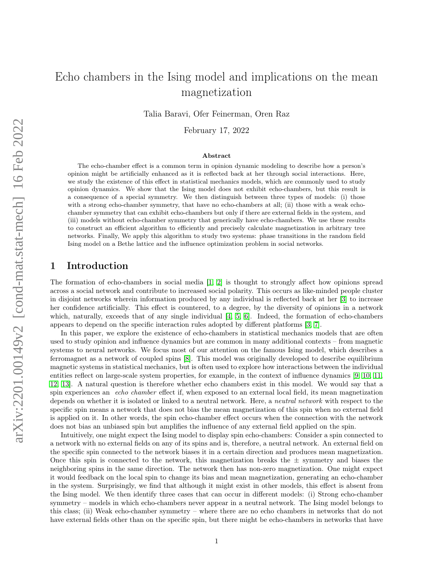# Echo chambers in the Ising model and implications on the mean magnetization

Talia Baravi, Ofer Feinerman, Oren Raz

February 17, 2022

#### Abstract

The echo-chamber effect is a common term in opinion dynamic modeling to describe how a person's opinion might be artificially enhanced as it is reflected back at her through social interactions. Here, we study the existence of this effect in statistical mechanics models, which are commonly used to study opinion dynamics. We show that the Ising model does not exhibit echo-chambers, but this result is a consequence of a special symmetry. We then distinguish between three types of models: (i) those with a strong echo-chamber symmetry, that have no echo-chambers at all; (ii) those with a weak echochamber symmetry that can exhibit echo-chambers but only if there are external fields in the system, and (iii) models without echo-chamber symmetry that generically have echo-chambers. We use these results to construct an efficient algorithm to efficiently and precisely calculate magnetization in arbitrary tree networks. Finally, We apply this algorithm to study two systems: phase transitions in the random field Ising model on a Bethe lattice and the influence optimization problem in social networks.

## 1 Introduction

The formation of echo-chambers in social media [\[1,](#page-15-0) [2\]](#page-15-1) is thought to strongly affect how opinions spread across a social network and contribute to increased social polarity. This occurs as like-minded people cluster in disjoint networks wherein information produced by any individual is reflected back at her [\[3\]](#page-15-2) to increase her confidence artificially. This effect is countered, to a degree, by the diversity of opinions in a network which, naturally, exceeds that of any single individual [\[4,](#page-15-3) [5,](#page-15-4) [6\]](#page-15-5). Indeed, the formation of echo-chambers appears to depend on the specific interaction rules adopted by different platforms [\[3,](#page-15-2) [7\]](#page-15-6).

In this paper, we explore the existence of echo-chambers in statistical mechanics models that are often used to study opinion and influence dynamics but are common in many additional contexts – from magnetic systems to neural networks. We focus most of our attention on the famous Ising model, which describes a ferromagnet as a network of coupled spins [\[8\]](#page-15-7). This model was originally developed to describe equilibrium magnetic systems in statistical mechanics, but is often used to explore how interactions between the individual entities reflect on large-scale system properties, for example, in the context of influence dynamics [\[9,](#page-15-8) [10,](#page-15-9) [11,](#page-15-10) [12,](#page-15-11) [13\]](#page-15-12). A natural question is therefore whether echo chambers exist in this model. We would say that a spin experiences an echo chamber effect if, when exposed to an external local field, its mean magnetization depends on whether it is isolated or linked to a neutral network. Here, a neutral network with respect to the specific spin means a network that does not bias the mean magnetization of this spin when no external field is applied on it. In other words, the spin echo-chamber effect occurs when the connection with the network does not bias an unbiased spin but amplifies the influence of any external field applied on the spin.

Intuitively, one might expect the Ising model to display spin echo-chambers: Consider a spin connected to a network with no external fields on any of its spins and is, therefore, a neutral network. An external field on the specific spin connected to the network biases it in a certain direction and produces mean magnetization. Once this spin is connected to the network, this magnetization breaks the  $\pm$  symmetry and biases the neighboring spins in the same direction. The network then has non-zero magnetization. One might expect it would feedback on the local spin to change its bias and mean magnetization, generating an echo-chamber in the system. Surprisingly, we find that although it might exist in other models, this effect is absent from the Ising model. We then identify three cases that can occur in different models: (i) Strong echo-chamber symmetry – models in which echo-chambers never appear in a neutral network. The Ising model belongs to this class; (ii) Weak echo-chamber symmetry – where there are no echo chambers in networks that do not have external fields other than on the specific spin, but there might be echo-chambers in networks that have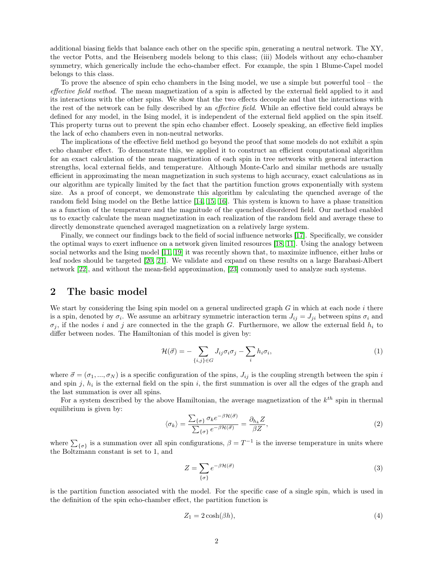additional biasing fields that balance each other on the specific spin, generating a neutral network. The XY, the vector Potts, and the Heisenberg models belong to this class; (iii) Models without any echo-chamber symmetry, which generically include the echo-chamber effect. For example, the spin 1 Blume-Capel model belongs to this class.

To prove the absence of spin echo chambers in the Ising model, we use a simple but powerful tool – the effective field method. The mean magnetization of a spin is affected by the external field applied to it and its interactions with the other spins. We show that the two effects decouple and that the interactions with the rest of the network can be fully described by an effective field. While an effective field could always be defined for any model, in the Ising model, it is independent of the external field applied on the spin itself. This property turns out to prevent the spin echo chamber effect. Loosely speaking, an effective field implies the lack of echo chambers even in non-neutral networks.

The implications of the effective field method go beyond the proof that some models do not exhibit a spin echo chamber effect. To demonstrate this, we applied it to construct an efficient computational algorithm for an exact calculation of the mean magnetization of each spin in tree networks with general interaction strengths, local external fields, and temperature. Although Monte-Carlo and similar methods are usually efficient in approximating the mean magnetization in such systems to high accuracy, exact calculations as in our algorithm are typically limited by the fact that the partition function grows exponentially with system size. As a proof of concept, we demonstrate this algorithm by calculating the quenched average of the random field Ising model on the Bethe lattice [\[14,](#page-15-13) [15,](#page-15-14) [16\]](#page-15-15). This system is known to have a phase transition as a function of the temperature and the magnitude of the quenched disordered field. Our method enabled us to exactly calculate the mean magnetization in each realization of the random field and average these to directly demonstrate quenched averaged magnetization on a relatively large system.

Finally, we connect our findings back to the field of social influence networks [\[17\]](#page-16-0). Specifically, we consider the optimal ways to exert influence on a network given limited resources [\[18,](#page-16-1) [11\]](#page-15-10). Using the analogy between social networks and the Ising model [\[11,](#page-15-10) [19\]](#page-16-2) it was recently shown that, to maximize influence, either hubs or leaf nodes should be targeted [\[20,](#page-16-3) [21\]](#page-16-4). We validate and expand on these results on a large Barabasi-Albert network [\[22\]](#page-16-5), and without the mean-field approximation, [\[23\]](#page-16-6) commonly used to analyze such systems.

## 2 The basic model

We start by considering the Ising spin model on a general undirected graph  $G$  in which at each node  $i$  there is a spin, denoted by  $\sigma_i$ . We assume an arbitrary symmetric interaction term  $J_{ij} = J_{ji}$  between spins  $\sigma_i$  and  $\sigma_i$ , if the nodes i and j are connected in the the graph G. Furthermore, we allow the external field  $h_i$  to differ between nodes. The Hamiltonian of this model is given by:

$$
\mathcal{H}(\vec{\sigma}) = -\sum_{\{i,j\} \in G} J_{ij}\sigma_i \sigma_j - \sum_i h_i \sigma_i,\tag{1}
$$

where  $\vec{\sigma} = (\sigma_1, ..., \sigma_N)$  is a specific configuration of the spins,  $J_{ij}$  is the coupling strength between the spin i and spin  $j, h_i$  is the external field on the spin i, the first summation is over all the edges of the graph and the last summation is over all spins.

For a system described by the above Hamiltonian, the average magnetization of the  $k^{th}$  spin in thermal equilibrium is given by:

$$
\langle \sigma_k \rangle = \frac{\sum_{\{\sigma\}} \sigma_k e^{-\beta \mathcal{H}(\vec{\sigma})}}{\sum_{\{\sigma\}} e^{-\beta \mathcal{H}(\vec{\sigma})}} = \frac{\partial_{h_k} Z}{\beta Z},\tag{2}
$$

where  $\sum_{\{\sigma\}}$  is a summation over all spin configurations,  $\beta = T^{-1}$  is the inverse temperature in units where the Boltzmann constant is set to 1, and

<span id="page-1-0"></span>
$$
Z = \sum_{\{\sigma\}} e^{-\beta \mathcal{H}(\vec{\sigma})} \tag{3}
$$

is the partition function associated with the model. For the specific case of a single spin, which is used in the definition of the spin echo-chamber effect, the partition function is

$$
Z_1 = 2\cosh(\beta h),\tag{4}
$$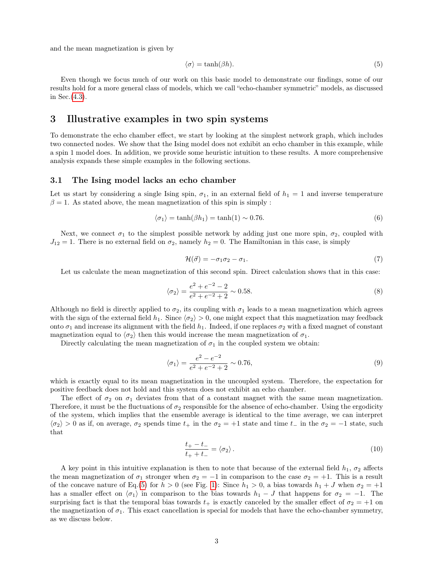and the mean magnetization is given by

<span id="page-2-0"></span>
$$
\langle \sigma \rangle = \tanh(\beta h). \tag{5}
$$

Even though we focus much of our work on this basic model to demonstrate our findings, some of our results hold for a more general class of models, which we call "echo-chamber symmetric" models, as discussed in Sec.[\(4.3\)](#page-6-0).

### 3 Illustrative examples in two spin systems

To demonstrate the echo chamber effect, we start by looking at the simplest network graph, which includes two connected nodes. We show that the Ising model does not exhibit an echo chamber in this example, while a spin 1 model does. In addition, we provide some heuristic intuition to these results. A more comprehensive analysis expands these simple examples in the following sections.

#### 3.1 The Ising model lacks an echo chamber

Let us start by considering a single Ising spin,  $\sigma_1$ , in an external field of  $h_1 = 1$  and inverse temperature  $\beta = 1$ . As stated above, the mean magnetization of this spin is simply :

$$
\langle \sigma_1 \rangle = \tanh(\beta h_1) = \tanh(1) \sim 0.76. \tag{6}
$$

Next, we connect  $\sigma_1$  to the simplest possible network by adding just one more spin,  $\sigma_2$ , coupled with  $J_{12} = 1$ . There is no external field on  $\sigma_2$ , namely  $h_2 = 0$ . The Hamiltonian in this case, is simply

$$
\mathcal{H}(\vec{\sigma}) = -\sigma_1 \sigma_2 - \sigma_1. \tag{7}
$$

Let us calculate the mean magnetization of this second spin. Direct calculation shows that in this case:

$$
\langle \sigma_2 \rangle = \frac{e^2 + e^{-2} - 2}{e^2 + e^{-2} + 2} \sim 0.58. \tag{8}
$$

Although no field is directly applied to  $\sigma_2$ , its coupling with  $\sigma_1$  leads to a mean magnetization which agrees with the sign of the external field  $h_1$ . Since  $\langle \sigma_2 \rangle > 0$ , one might expect that this magnetization may feedback onto  $\sigma_1$  and increase its alignment with the field  $h_1$ . Indeed, if one replaces  $\sigma_2$  with a fixed magnet of constant magnetization equal to  $\langle \sigma_2 \rangle$  then this would increase the mean magnetization of  $\sigma_1$ .

Directly calculating the mean magnetization of  $\sigma_1$  in the coupled system we obtain:

$$
\langle \sigma_1 \rangle = \frac{e^2 - e^{-2}}{e^2 + e^{-2} + 2} \sim 0.76,\tag{9}
$$

which is exactly equal to its mean magnetization in the uncoupled system. Therefore, the expectation for positive feedback does not hold and this system does not exhibit an echo chamber.

The effect of  $\sigma_2$  on  $\sigma_1$  deviates from that of a constant magnet with the same mean magnetization. Therefore, it must be the fluctuations of  $\sigma_2$  responsible for the absence of echo-chamber. Using the ergodicity of the system, which implies that the ensemble average is identical to the time average, we can interpret  $\langle \sigma_2 \rangle > 0$  as if, on average,  $\sigma_2$  spends time  $t_+$  in the  $\sigma_2 = +1$  state and time  $t_-$  in the  $\sigma_2 = -1$  state, such that

$$
\frac{t_+ - t_-}{t_+ + t_-} = \langle \sigma_2 \rangle \,. \tag{10}
$$

A key point in this intuitive explanation is then to note that because of the external field  $h_1$ ,  $\sigma_2$  affects the mean magnetization of  $\sigma_1$  stronger when  $\sigma_2 = -1$  in comparison to the case  $\sigma_2 = +1$ . This is a result of the concave nature of Eq.[\(5\)](#page-2-0) for  $h > 0$  (see Fig. [1\)](#page-3-0): Since  $h_1 > 0$ , a bias towards  $h_1 + J$  when  $\sigma_2 = +1$ has a smaller effect on  $\langle \sigma_1 \rangle$  in comparison to the bias towards  $h_1 - J$  that happens for  $\sigma_2 = -1$ . The surprising fact is that the temporal bias towards  $t_+$  is exactly canceled by the smaller effect of  $\sigma_2 = +1$  on the magnetization of  $\sigma_1$ . This exact cancellation is special for models that have the echo-chamber symmetry, as we discuss below.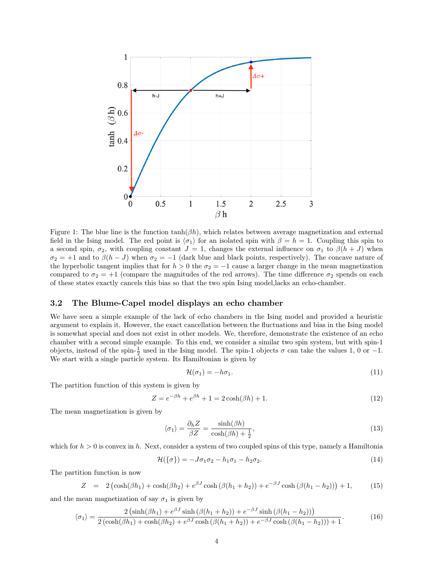

<span id="page-3-0"></span>Figure 1: The blue line is the function  $\tanh(\beta h)$ , which relates between average magnetization and external field in the Ising model. The red point is  $\langle \sigma_1 \rangle$  for an isolated spin with  $\beta = h = 1$ . Coupling this spin to a second spin,  $\sigma_2$ , with coupling constant  $J = 1$ , changes the external influence on  $\sigma_1$  to  $\beta(h + J)$  when  $\sigma_2 = +1$  and to  $\beta(h-J)$  when  $\sigma_2 = -1$  (dark blue and black points, respectively). The concave nature of the hyperbolic tangent implies that for  $h > 0$  the  $\sigma_2 = -1$  cause a larger change in the mean magnetization compared to  $\sigma_2 = +1$  (compare the magnitudes of the red arrows). The time difference  $\sigma_2$  spends on each of these states exactly cancels this bias so that the two spin Ising model,lacks an echo-chamber.

#### <span id="page-3-3"></span>3.2 The Blume-Capel model displays an echo chamber

We have seen a simple example of the lack of echo chambers in the Ising model and provided a heuristic argument to explain it. However, the exact cancellation between the fluctuations and bias in the Ising model is somewhat special and does not exist in other models. We, therefore, demonstrate the existence of an echo chamber with a second simple example. To this end, we consider a similar two spin system, but with spin-1 objects, instead of the spin- $\frac{1}{2}$  used in the Ising model. The spin-1 objects  $\sigma$  can take the values 1, 0 or -1. We start with a single particle system. Its Hamiltonian is given by

$$
\mathcal{H}(\sigma_1) = -h\sigma_1. \tag{11}
$$

The partition function of this system is given by

$$
Z = e^{-\beta h} + e^{\beta h} + 1 = 2\cosh(\beta h) + 1.
$$
 (12)

The mean magnetization is given by

<span id="page-3-2"></span>
$$
\langle \sigma_1 \rangle = \frac{\partial_h Z}{\beta Z} = \frac{\sinh(\beta h)}{\cosh(\beta h) + \frac{1}{2}},\tag{13}
$$

which for  $h > 0$  is convex in h. Next, consider a system of two coupled spins of this type, namely a Hamiltonia

$$
\mathcal{H}(\{\sigma\}) = -J\sigma_1\sigma_2 - h_1\sigma_1 - h_2\sigma_2. \tag{14}
$$

The partition function is now

$$
Z = 2(\cosh(\beta h_1) + \cosh(\beta h_2) + e^{\beta J} \cosh(\beta (h_1 + h_2)) + e^{-\beta J} \cosh(\beta (h_1 - h_2))) + 1, \quad (15)
$$

and the mean magnetization of say  $\sigma_1$  is given by

<span id="page-3-1"></span>
$$
\langle \sigma_1 \rangle = \frac{2 \left( \sinh(\beta h_1) + e^{\beta J} \sinh(\beta (h_1 + h_2)) + e^{-\beta J} \sinh(\beta (h_1 - h_2)) \right)}{2 \left( \cosh(\beta h_1) + \cosh(\beta h_2) + e^{\beta J} \cosh(\beta (h_1 + h_2)) + e^{-\beta J} \cosh(\beta (h_1 - h_2)) \right) + 1}.
$$
(16)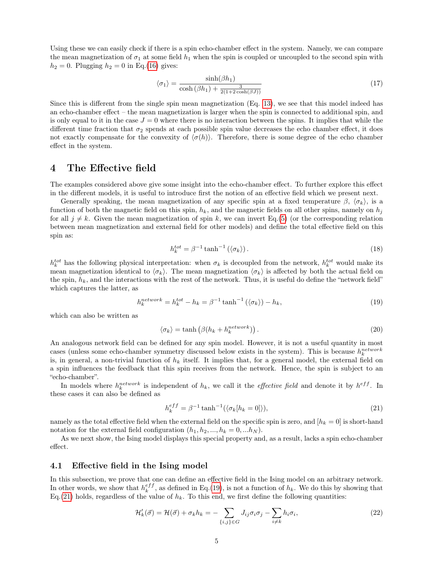Using these we can easily check if there is a spin echo-chamber effect in the system. Namely, we can compare the mean magnetization of  $\sigma_1$  at some field  $h_1$  when the spin is coupled or uncoupled to the second spin with  $h_2 = 0$ . Plugging  $h_2 = 0$  in Eq.[\(16\)](#page-3-1) gives:

$$
\langle \sigma_1 \rangle = \frac{\sinh(\beta h_1)}{\cosh(\beta h_1) + \frac{3}{2(1+2\cosh(\beta J))}}\tag{17}
$$

Since this is different from the single spin mean magnetization (Eq. [13\)](#page-3-2), we see that this model indeed has an echo-chamber effect – the mean magnetization is larger when the spin is connected to additional spin, and is only equal to it in the case  $J = 0$  where there is no interaction between the spins. It implies that while the different time fraction that  $\sigma_2$  spends at each possible spin value decreases the echo chamber effect, it does not exactly compensate for the convexity of  $\langle \sigma(h) \rangle$ . Therefore, there is some degree of the echo chamber effect in the system.

## 4 The Effective field

The examples considered above give some insight into the echo-chamber effect. To further explore this effect in the different models, it is useful to introduce first the notion of an effective field which we present next.

Generally speaking, the mean magnetization of any specific spin at a fixed temperature  $\beta$ ,  $\langle \sigma_k \rangle$ , is a function of both the magnetic field on this spin,  $h_k$ , and the magnetic fields on all other spins, namely on  $h_j$ for all  $j \neq k$ . Given the mean magnetization of spin k, we can invert Eq.[\(5\)](#page-2-0) (or the corresponding relation between mean magnetization and external field for other models) and define the total effective field on this spin as:

$$
h_k^{tot} = \beta^{-1} \tanh^{-1} \left( \langle \sigma_k \rangle \right). \tag{18}
$$

 $h_k^{tot}$  has the following physical interpretation: when  $\sigma_k$  is decoupled from the network,  $h_k^{tot}$  would make its mean magnetization identical to  $\langle \sigma_k \rangle$ . The mean magnetization  $\langle \sigma_k \rangle$  is affected by both the actual field on the spin,  $h_k$ , and the interactions with the rest of the network. Thus, it is useful do define the "network field" which captures the latter, as

<span id="page-4-0"></span>
$$
h_k^{network} = h_k^{tot} - h_k = \beta^{-1} \tanh^{-1}(\langle \sigma_k \rangle) - h_k,\tag{19}
$$

which can also be written as

<span id="page-4-2"></span>
$$
\langle \sigma_k \rangle = \tanh \left( \beta (h_k + h_k^{network}) \right). \tag{20}
$$

An analogous network field can be defined for any spin model. However, it is not a useful quantity in most cases (unless some echo-chamber symmetry discussed below exists in the system). This is because  $h_k^{network}$ is, in general, a non-trivial function of  $h_k$  itself. It implies that, for a general model, the external field on a spin influences the feedback that this spin receives from the network. Hence, the spin is subject to an "echo-chamber".

In models where  $h_k^{network}$  is independent of  $h_k$ , we call it the *effective field* and denote it by  $h^{eff}$ . In these cases it can also be defined as

<span id="page-4-1"></span>
$$
h_k^{eff} = \beta^{-1} \tanh^{-1}(\langle \sigma_k[h_k = 0] \rangle),\tag{21}
$$

namely as the total effective field when the external field on the specific spin is zero, and  $[h_k = 0]$  is short-hand notation for the external field configuration  $(h_1, h_2, ..., h_k = 0, ..., h_N)$ .

As we next show, the Ising model displays this special property and, as a result, lacks a spin echo-chamber effect.

#### 4.1 Effective field in the Ising model

In this subsection, we prove that one can define an effective field in the Ising model on an arbitrary network. In other words, we show that  $h_k^{eff}$ , as defined in Eq.[\(19\)](#page-4-0), is not a function of  $h_k$ . We do this by showing that Eq.[\(21\)](#page-4-1) holds, regardless of the value of  $h_k$ . To this end, we first define the following quantities:

$$
\mathcal{H}'_k(\vec{\sigma}) = \mathcal{H}(\vec{\sigma}) + \sigma_k h_k = -\sum_{\{i,j\} \in G} J_{ij}\sigma_i \sigma_j - \sum_{i \neq k} h_i \sigma_i,\tag{22}
$$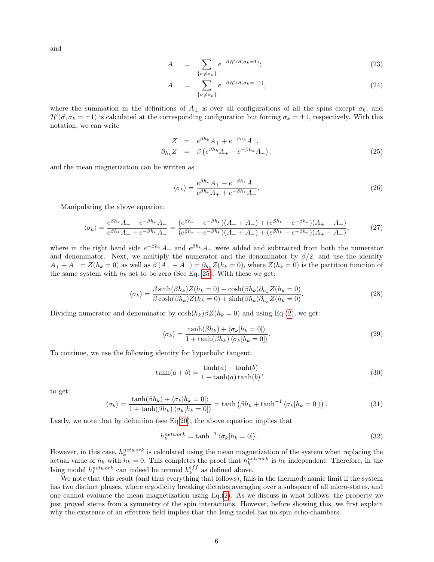and

$$
A_{+} = \sum_{\{\sigma \neq \sigma_{k}\}} e^{-\beta \mathcal{H}'(\vec{\sigma}, \sigma_{k}=1)};
$$
\n(23)

$$
A_{-} = \sum_{\{\sigma \neq \sigma_{k}\}} e^{-\beta \mathcal{H}'(\vec{\sigma}, \sigma_{k} = -1)}, \tag{24}
$$

where the summation in the definitions of  $A_{\pm}$  is over all configurations of all the spins except  $\sigma_k$ , and  $\mathcal{H}'(\vec{\sigma}, \sigma_k = \pm 1)$  is calculated at the corresponding configuration but forcing  $\sigma_k = \pm 1$ , respectively. With this notation, we can write

<span id="page-5-0"></span>
$$
Z = e^{\beta h_k} A_+ + e^{-\beta h_k} A_-,
$$
  
\n
$$
\partial_{h_k} Z = \beta \left( e^{\beta h_k} A_+ - e^{-\beta h_k} A_- \right),
$$
\n(25)

and the mean magnetization can be written as

$$
\langle \sigma_k \rangle = \frac{e^{\beta h_k} A_+ - e^{-\beta h_k} A_-}{e^{\beta h_k} A_+ + e^{-\beta h_k} A_-}.\tag{26}
$$

Manipulating the above equation:

$$
\langle \sigma_k \rangle = \frac{e^{\beta h_k} A_+ - e^{-\beta h_k} A_-}{e^{\beta h_k} A_+ + e^{-\beta h_k} A_-} = \frac{(e^{\beta h_k} - e^{-\beta h_k})(A_+ + A_-) + (e^{\beta h_k} + e^{-\beta h_k})(A_+ - A_-)}{(e^{\beta h_k} + e^{-\beta h_k})(A_+ + A_-) + (e^{\beta h_k} - e^{-\beta h_k})(A_+ - A_-)},\tag{27}
$$

where in the right hand side  $e^{-\beta h_k}A_+$  and  $e^{\beta h_k}A_-$  were added and subtracted from both the numerator and denominator. Next, we multiply the numerator and the denominator by  $\beta/2$ , and use the identity  $A_+ + A_- = Z(h_k = 0)$  as well as  $\beta(A_+ - A_-) = \partial_{h_k} Z(h_k = 0)$ , where  $Z(h_k = 0)$  is the partition function of the same system with  $h_k$  set to be zero (See Eq. [25\)](#page-5-0). With these we get:

$$
\langle \sigma_k \rangle = \frac{\beta \sinh(\beta h_k) Z(h_k = 0) + \cosh(\beta h_k) \partial_{h_k} Z(h_k = 0)}{\beta \cosh(\beta h_k) Z(h_k = 0) + \sinh(\beta h_k) \partial_{h_k} Z(h_k = 0)}.
$$
\n(28)

Dividing numerator and denominator by  $\cosh(h_k)\beta Z(h_k = 0)$  and using Eq.[\(2\)](#page-1-0), we get:

$$
\langle \sigma_k \rangle = \frac{\tanh(\beta h_k) + \langle \sigma_k[h_k = 0] \rangle}{1 + \tanh(\beta h_k) \langle \sigma_k[h_k = 0] \rangle}.
$$
\n(29)

To continue, we use the following identity for hyperbolic tangent:

$$
\tanh(a+b) = \frac{\tanh(a) + \tanh(b)}{1 + \tanh(a)\tanh(b)},
$$
\n(30)

to get:

$$
\langle \sigma_k \rangle = \frac{\tanh(\beta h_k) + \langle \sigma_k[h_k = 0] \rangle}{1 + \tanh(\beta h_k) \langle \sigma_k[h_k = 0] \rangle} = \tanh(\beta h_k + \tanh^{-1} \langle \sigma_k[h_k = 0] \rangle).
$$
 (31)

Lastly, we note that by definition (see Eq[.20\)](#page-4-2), the above equation implies that

$$
h_k^{network} = \tanh^{-1} \langle \sigma_k[h_k = 0] \rangle. \tag{32}
$$

However, in this case,  $h_k^{network}$  is calculated using the mean magnetization of the system when replacing the actual value of  $h_k$  with  $h_k = 0$ . This completes the proof that  $h_k^{network}$  is  $h_k$  independent. Therefore, in the Ising model  $h_k^{network}$  can indeed be termed  $h_k^{eff}$  as defined above.

We note that this result (and thus everything that follows), fails in the thermodynamic limit if the system has two distinct phases, where ergodicity breaking dictates averaging over a subspace of all micro-states, and one cannot evaluate the mean magnetization using  $Eq.(2)$  $Eq.(2)$ . As we discuss in what follows, the property we just proved stems from a symmetry of the spin interactions. However, before showing this, we first explain why the existence of an effective field implies that the Ising model has no spin echo-chambers.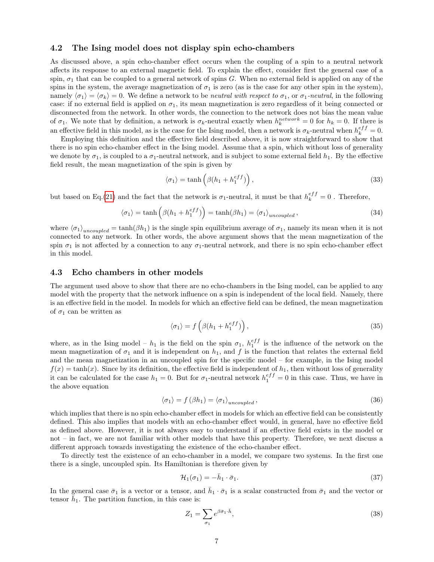#### 4.2 The Ising model does not display spin echo-chambers

As discussed above, a spin echo-chamber effect occurs when the coupling of a spin to a neutral network affects its response to an external magnetic field. To explain the effect, consider first the general case of a spin,  $\sigma_1$  that can be coupled to a general network of spins G. When no external field is applied on any of the spins in the system, the average magnetization of  $\sigma_1$  is zero (as is the case for any other spin in the system), namely  $\langle \sigma_1 \rangle = \langle \sigma_k \rangle = 0$ . We define a network to be *neutral with respect to*  $\sigma_1$ , or  $\sigma_1$ -*neutral*, in the following case: if no external field is applied on  $\sigma_1$ , its mean magnetization is zero regardless of it being connected or disconnected from the network. In other words, the connection to the network does not bias the mean value of  $\sigma_1$ . We note that by definition, a network is  $\sigma_k$ -neutral exactly when  $h_k^{network} = 0$  for  $h_k = 0$ . If there is an effective field in this model, as is the case for the Ising model, then a network is  $\sigma_k$ -neutral when  $h_k^{eff} = 0$ .

Employing this definition and the effective field described above, it is now straightforward to show that there is no spin echo-chamber effect in the Ising model. Assume that a spin, which without loss of generality we denote by  $\sigma_1$ , is coupled to a  $\sigma_1$ -neutral network, and is subject to some external field  $h_1$ . By the effective field result, the mean magnetization of the spin is given by

$$
\langle \sigma_1 \rangle = \tanh\left(\beta (h_1 + h_1^{eff})\right),\tag{33}
$$

but based on Eq.[\(21\)](#page-4-1) and the fact that the network is  $\sigma_1$ -neutral, it must be that  $h_k^{eff} = 0$ . Therefore,

$$
\langle \sigma_1 \rangle = \tanh\left(\beta(h_1 + h_1^{eff})\right) = \tanh(\beta h_1) = \langle \sigma_1 \rangle_{uncoupled},\tag{34}
$$

where  $\langle \sigma_1 \rangle_{uncoupled} = \tanh(\beta h_1)$  is the single spin equilibrium average of  $\sigma_1$ , namely its mean when it is not connected to any network. In other words, the above argument shows that the mean magnetization of the spin  $\sigma_1$  is not affected by a connection to any  $\sigma_1$ -neutral network, and there is no spin echo-chamber effect in this model.

#### <span id="page-6-0"></span>4.3 Echo chambers in other models

The argument used above to show that there are no echo-chambers in the Ising model, can be applied to any model with the property that the network influence on a spin is independent of the local field. Namely, there is an effective field in the model. In models for which an effective field can be defined, the mean magnetization of  $\sigma_1$  can be written as

$$
\langle \sigma_1 \rangle = f\left(\beta(h_1 + h_1^{eff})\right),\tag{35}
$$

where, as in the Ising model –  $h_1$  is the field on the spin  $\sigma_1$ ,  $h_1^{eff}$  is the influence of the network on the mean magnetization of  $\sigma_1$  and it is independent on  $h_1$ , and f is the function that relates the external field and the mean magnetization in an uncoupled spin for the specific model – for example, in the Ising model  $f(x) = \tanh(x)$ . Since by its definition, the effective field is independent of  $h_1$ , then without loss of generality it can be calculated for the case  $h_1 = 0$ . But for  $\sigma_1$ -neutral network  $h_1^{eff} = 0$  in this case. Thus, we have in the above equation

$$
\langle \sigma_1 \rangle = f(\beta h_1) = \langle \sigma_1 \rangle_{uncoupled}, \qquad (36)
$$

which implies that there is no spin echo-chamber effect in models for which an effective field can be consistently defined. This also implies that models with an echo-chamber effect would, in general, have no effective field as defined above. However, it is not always easy to understand if an effective field exists in the model or not – in fact, we are not familiar with other models that have this property. Therefore, we next discuss a different approach towards investigating the existence of the echo-chamber effect.

To directly test the existence of an echo-chamber in a model, we compare two systems. In the first one there is a single, uncoupled spin. Its Hamiltonian is therefore given by

$$
\mathcal{H}_1(\sigma_1) = -\bar{h}_1 \cdot \bar{\sigma}_1. \tag{37}
$$

In the general case  $\bar{\sigma}_1$  is a vector or a tensor, and  $\bar{h}_1 \cdot \bar{\sigma}_1$  is a scalar constructed from  $\bar{\sigma}_1$  and the vector or tensor  $\bar{h}_1$ . The partition function, in this case is:

$$
Z_1 = \sum_{\sigma_1} e^{\beta \bar{\sigma}_1 \cdot \bar{h}},\tag{38}
$$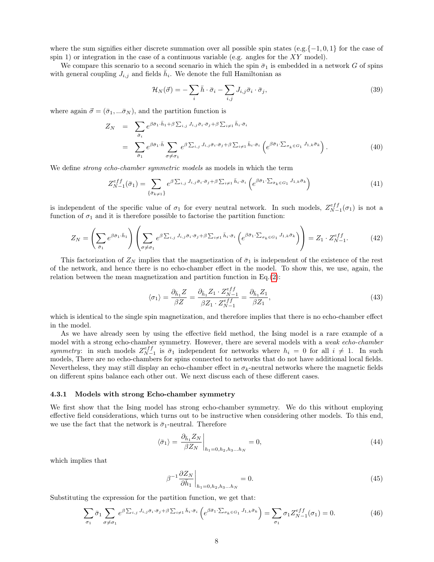where the sum signifies either discrete summation over all possible spin states (e.g. $\{-1, 0, 1\}$  for the case of spin 1) or integration in the case of a continuous variable (e.g. angles for the  $XY$  model).

We compare this scenario to a second scenario in which the spin  $\bar{\sigma}_1$  is embedded in a network G of spins with general coupling  $J_{i,j}$  and fields  $\bar{h}_i$ . We denote the full Hamiltonian as

$$
\mathcal{H}_N(\vec{\sigma}) = -\sum_i \bar{h} \cdot \bar{\sigma}_i - \sum_{i,j} J_{i,j} \bar{\sigma}_i \cdot \bar{\sigma}_j,\tag{39}
$$

where again  $\vec{\sigma} = (\bar{\sigma}_1, \dots, \bar{\sigma}_N)$ , and the partition function is

$$
Z_N = \sum_{\bar{\sigma}_i} e^{\beta \bar{\sigma}_1 \cdot \bar{h}_1 + \beta \sum_{i,j} J_{i,j} \bar{\sigma}_i \cdot \bar{\sigma}_j + \beta \sum_{i \neq 1} \bar{h}_i \cdot \bar{\sigma}_i}
$$
  
= 
$$
\sum_{\bar{\sigma}_1} e^{\beta \bar{\sigma}_1 \cdot \bar{h}} \sum_{\sigma \neq \sigma_1} e^{\beta \sum_{i,j} J_{i,j} \bar{\sigma}_i \cdot \bar{\sigma}_j + \beta \sum_{i \neq 1} \bar{h}_i \cdot \bar{\sigma}_i} \left( e^{\beta \bar{\sigma}_1 \cdot \sum_{\sigma_k \in G_1} J_{1,k} \bar{\sigma}_k} \right).
$$
 (40)

We define *strong echo-chamber symmetric models* as models in which the term

<span id="page-7-2"></span>
$$
Z_{N-1}^{eff}(\bar{\sigma}_1) = \sum_{\{\bar{\sigma}_{k\neq 1}\}} e^{\beta \sum_{i,j} J_{i,j} \bar{\sigma}_i \cdot \bar{\sigma}_j + \beta \sum_{i\neq 1} \bar{h}_i \cdot \bar{\sigma}_i} \left( e^{\beta \bar{\sigma}_1 \cdot \sum_{\bar{\sigma}_k \in G_1} J_{1,k} \bar{\sigma}_k} \right)
$$
(41)

is independent of the specific value of  $\sigma_1$  for every neutral network. In such models,  $Z_{N-1}^{eff}(\sigma_1)$  is not a function of  $\sigma_1$  and it is therefore possible to factorise the partition function:

<span id="page-7-1"></span>
$$
Z_N = \left(\sum_{\bar{\sigma}_1} e^{\beta \bar{\sigma}_1 \cdot \bar{h}_1} \right) \left(\sum_{\sigma \neq \sigma_1} e^{\beta \sum_{i,j} J_{i,j} \bar{\sigma}_i \cdot \bar{\sigma}_j + \beta \sum_{i \neq 1} \bar{h}_i \cdot \bar{\sigma}_i} \left(e^{\beta \bar{\sigma}_1 \cdot \sum_{\sigma_k \in G_1} J_{1,k} \bar{\sigma}_k} \right) \right) = Z_1 \cdot Z_{N-1}^{eff}.
$$
 (42)

This factorization of  $Z_N$  implies that the magnetization of  $\bar{\sigma}_1$  is independent of the existence of the rest of the network, and hence there is no echo-chamber effect in the model. To show this, we use, again, the relation between the mean magnetization and partition function in Eq.[\(2\)](#page-1-0):

$$
\langle \sigma_1 \rangle = \frac{\partial \bar{h}_1 Z}{\beta Z} = \frac{\partial \bar{h}_1 Z_1 \cdot Z_{N-1}^{eff}}{\beta Z_1 \cdot Z_{N-1}^{eff}} = \frac{\partial \bar{h}_1 Z_1}{\beta Z_1},\tag{43}
$$

which is identical to the single spin magnetization, and therefore implies that there is no echo-chamber effect in the model.

As we have already seen by using the effective field method, the Ising model is a rare example of a model with a strong echo-chamber symmetry. However, there are several models with a weak echo-chamber symmetry: in such models  $Z_{N-1}^{eff}$  is  $\bar{\sigma}_1$  independent for networks where  $h_i = 0$  for all  $i \neq 1$ . In such models, There are no echo-chambers for spins connected to networks that do not have additional local fields. Nevertheless, they may still display an echo-chamber effect in  $\sigma_k$ -neutral networks where the magnetic fields on different spins balance each other out. We next discuss each of these different cases.

#### 4.3.1 Models with strong Echo-chamber symmetry

We first show that the Ising model has strong echo-chamber symmetry. We do this without employing effective field considerations, which turns out to be instructive when considering other models. To this end, we use the fact that the network is  $\bar{\sigma}_1$ -neutral. Therefore

$$
\langle \bar{\sigma}_1 \rangle = \left. \frac{\partial_{\bar{h}_1} Z_N}{\beta Z_N} \right|_{h_1 = 0, h_2, h_3 \dots h_N} = 0,\tag{44}
$$

which implies that

$$
\beta^{-1} \frac{\partial Z_N}{\partial \bar{h}_1} \bigg|_{h_1 = 0, h_2, h_3 \dots h_N} = 0. \tag{45}
$$

Substituting the expression for the partition function, we get that:

<span id="page-7-0"></span>
$$
\sum_{\sigma_1} \bar{\sigma}_1 \sum_{\sigma \neq \sigma_1} e^{\beta \sum_{i,j} J_{i,j} \bar{\sigma}_i \cdot \bar{\sigma}_j + \beta \sum_{i \neq 1} \bar{h}_i \cdot \bar{\sigma}_i} \left( e^{\beta \bar{\sigma}_1 \cdot \sum_{\sigma_k \in G_1} J_{1,k} \bar{\sigma}_k} \right) = \sum_{\sigma_1} \sigma_1 Z_{N-1}^{eff}(\sigma_1) = 0.
$$
 (46)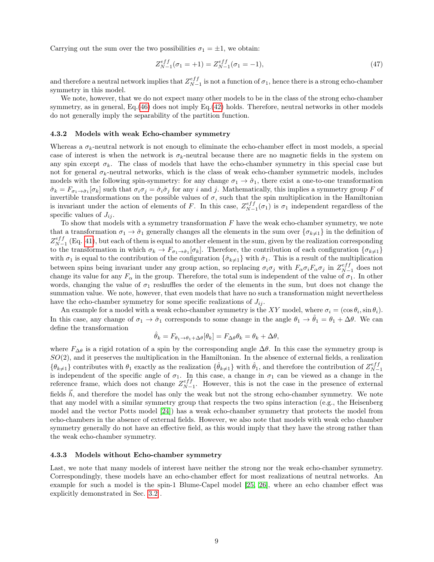Carrying out the sum over the two possibilities  $\sigma_1 = \pm 1$ , we obtain:

$$
Z_{N-1}^{eff}(\sigma_1 = +1) = Z_{N-1}^{eff}(\sigma_1 = -1), \tag{47}
$$

and therefore a neutral network implies that  $Z_{N-1}^{eff}$  is not a function of  $\sigma_1$ , hence there is a strong echo-chamber symmetry in this model.

We note, however, that we do not expect many other models to be in the class of the strong echo-chamber symmetry, as in general, Eq.[\(46\)](#page-7-0) does not imply Eq.[\(42\)](#page-7-1) holds. Therefore, neutral networks in other models do not generally imply the separability of the partition function.

#### 4.3.2 Models with weak Echo-chamber symmetry

Whereas a  $\sigma_k$ -neutral network is not enough to eliminate the echo-chamber effect in most models, a special case of interest is when the network is  $\sigma_k$ -neutral because there are no magnetic fields in the system on any spin except  $\sigma_k$ . The class of models that have the echo-chamber symmetry in this special case but not for general  $\sigma_k$ -neutral networks, which is the class of weak echo-chamber symmetric models, includes models with the following spin-symmetry: for any change  $\sigma_1 \to \hat{\sigma}_1$ , there exist a one-to-one transformation  $\hat{\sigma}_k = F_{\sigma_1 \to \hat{\sigma}_1}[\sigma_k]$  such that  $\sigma_i \sigma_j = \hat{\sigma}_i \hat{\sigma}_j$  for any i and j. Mathematically, this implies a symmetry group F of invertible transformations on the possible values of  $\sigma$ , such that the spin multiplication in the Hamiltonian is invariant under the action of elements of F. In this case,  $Z_{N-1}^{eff}(\sigma_1)$  is  $\sigma_1$  independent regardless of the specific values of  $J_{ij}$ .

To show that models with a symmetry transformation  $F$  have the weak echo-chamber symmetry, we note that a transformation  $\sigma_1 \to \hat{\sigma}_1$  generally changes all the elements in the sum over  $\{\sigma_{k\neq 1}\}\$  in the definition of  $Z_{N-1}^{eff}$  (Eq. [41\)](#page-7-2), but each of them is equal to another element in the sum, given by the realization corresponding to the transformation in which  $\sigma_k \to F_{\sigma_1 \to \hat{\sigma}_1}[\sigma_k]$ . Therefore, the contribution of each configuration  $\{\sigma_{k\neq 1}\}$ with  $\sigma_1$  is equal to the contribution of the configuration  $\{\hat{\sigma}_{k\neq 1}\}\$  with  $\hat{\sigma}_1$ . This is a result of the multiplication between spins being invariant under any group action, so replacing  $\sigma_i \sigma_j$  with  $F_\alpha \sigma_i F_\alpha \sigma_j$  in  $Z_{N-1}^{eff}$  does not change its value for any  $F_{\alpha}$  in the group. Therefore, the total sum is independent of the value of  $\sigma_1$ . In other words, changing the value of  $\sigma_1$  reshuffles the order of the elements in the sum, but does not change the summation value. We note, however, that even models that have no such a transformation might nevertheless have the echo-chamber symmetry for some specific realizations of  $J_{ij}$ .

An example for a model with a weak echo-chamber symmetry is the XY model, where  $\sigma_i = (\cos \theta_i, \sin \theta_i)$ . In this case, any change of  $\sigma_1 \to \hat{\sigma}_1$  corresponds to some change in the angle  $\theta_1 \to \hat{\theta}_1 = \theta_1 + \Delta\theta$ . We can define the transformation

$$
\hat{\theta}_k = F_{\theta_1 \to \theta_1 + \Delta\theta}[\theta_k] = F_{\Delta\theta}\theta_k = \theta_k + \Delta\theta,
$$

where  $F_{\Delta\theta}$  is a rigid rotation of a spin by the corresponding angle  $\Delta\theta$ . In this case the symmetry group is  $SO(2)$ , and it preserves the multiplication in the Hamiltonian. In the absence of external fields, a realization  $\{\theta_{k\neq 1}\}\right\}$  contributes with  $\theta_1$  exactly as the realization  $\{\hat{\theta}_{k\neq 1}\}\$  with  $\hat{\theta}_1$ , and therefore the contribution of  $Z_{N-1}^{eff}$ is independent of the specific angle of  $\sigma_1$ . In this case, a change in  $\sigma_1$  can be viewed as a change in the reference frame, which does not change  $Z_{N-1}^{eff}$ . However, this is not the case in the presence of external fields  $\vec{h}$ , and therefore the model has only the weak but not the strong echo-chamber symmetry. We note that any model with a similar symmetry group that respects the two spins interaction (e.g., the Heisenberg model and the vector Potts model [\[24\]](#page-16-7)) has a weak echo-chamber symmetry that protects the model from echo-chambers in the absence of external fields. However, we also note that models with weak echo chamber symmetry generally do not have an effective field, as this would imply that they have the strong rather than the weak echo-chamber symmetry.

#### 4.3.3 Models without Echo-chamber symmetry

Last, we note that many models of interest have neither the strong nor the weak echo-chamber symmetry. Correspondingly, these models have an echo-chamber effect for most realizations of neutral networks. An example for such a model is the spin-1 Blume-Capel model [\[25,](#page-16-8) [26\]](#page-16-9), where an echo chamber effect was explicitly demonstrated in Sec. [3.2](#page-3-3) .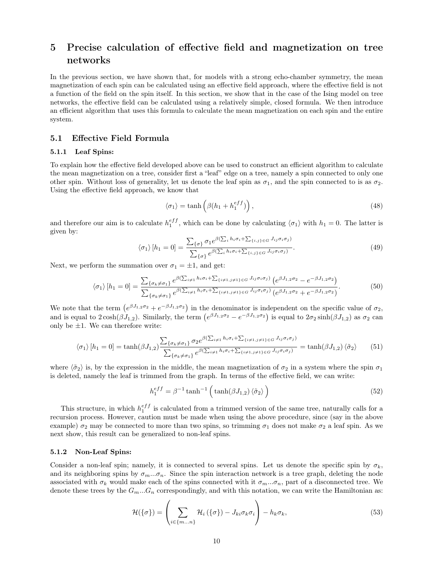## 5 Precise calculation of effective field and magnetization on tree networks

In the previous section, we have shown that, for models with a strong echo-chamber symmetry, the mean magnetization of each spin can be calculated using an effective field approach, where the effective field is not a function of the field on the spin itself. In this section, we show that in the case of the Ising model on tree networks, the effective field can be calculated using a relatively simple, closed formula. We then introduce an efficient algorithm that uses this formula to calculate the mean magnetization on each spin and the entire system.

#### 5.1 Effective Field Formula

#### 5.1.1 Leaf Spins:

To explain how the effective field developed above can be used to construct an efficient algorithm to calculate the mean magnetization on a tree, consider first a "leaf" edge on a tree, namely a spin connected to only one other spin. Without loss of generality, let us denote the leaf spin as  $\sigma_1$ , and the spin connected to is as  $\sigma_2$ . Using the effective field approach, we know that

$$
\langle \sigma_1 \rangle = \tanh\left(\beta(h_1 + h_1^{eff})\right),\tag{48}
$$

and therefore our aim is to calculate  $h_1^{eff}$ , which can be done by calculating  $\langle \sigma_1 \rangle$  with  $h_1 = 0$ . The latter is given by:

$$
\langle \sigma_1 \rangle [h_1 = 0] = \frac{\sum_{\{\sigma\}} \sigma_1 e^{\beta (\sum_i h_i \sigma_i + \sum_{\{i,j\} \in G} J_{ij} \sigma_i \sigma_j)}}{\sum_{\{\sigma\}} e^{\beta (\sum_i h_i \sigma_i + \sum_{\{i,j\} \in G} J_{ij} \sigma_i \sigma_j)}}.
$$
\n(49)

Next, we perform the summation over  $\sigma_1 = \pm 1$ , and get:

$$
\langle \sigma_1 \rangle [h_1 = 0] = \frac{\sum_{\{\sigma_k \neq \sigma_1\}} e^{\beta(\sum_{i \neq 1} h_i \sigma_i + \sum_{\{i \neq 1, j \neq 1\}} \in G} J_{ij} \sigma_i \sigma_j)}{\sum_{\{\sigma_k \neq \sigma_1\}} e^{\beta(\sum_{i \neq 1} h_i \sigma_i + \sum_{\{i \neq 1, j \neq 1\}} \in G} J_{ij} \sigma_i \sigma_j)} (e^{\beta J_{1,2} \sigma_2} - e^{-\beta J_{1,2} \sigma_2})
$$
\n
$$
(50)
$$

We note that the term  $(e^{\beta J_{1,2}\sigma_2}+e^{-\beta J_{1,2}\sigma_2})$  in the denominator is independent on the specific value of  $\sigma_2$ , and is equal to  $2\cosh(\beta J_{1,2})$ . Similarly, the term  $(e^{\beta J_{1,2}\sigma_2}-e^{-\beta J_{1,2}\sigma_2})$  is equal to  $2\sigma_2\sinh(\beta J_{1,2})$  as  $\sigma_2$  can only be  $\pm 1$ . We can therefore write:

$$
\langle \sigma_1 \rangle [h_1 = 0] = \tanh(\beta J_{1,2}) \frac{\sum_{\{\sigma_k \neq \sigma_1\}} \sigma_2 e^{\beta (\sum_{i \neq 1} h_i \sigma_i + \sum_{\{i \neq 1, j \neq 1\}} \in G J_{ij} \sigma_i \sigma_j)}}{\sum_{\{\sigma_k \neq \sigma_1\}} e^{\beta (\sum_{i \neq 1} h_i \sigma_i + \sum_{\{i \neq 1, j \neq 1\}} \in G J_{ij} \sigma_i \sigma_j)}} = \tanh(\beta J_{1,2}) \langle \tilde{\sigma}_2 \rangle \qquad (51)
$$

where  $\langle \tilde{\sigma}_2 \rangle$  is, by the expression in the middle, the mean magnetization of  $\sigma_2$  in a system where the spin  $\sigma_1$ is deleted, namely the leaf is trimmed from the graph. In terms of the effective field, we can write:

$$
h_1^{eff} = \beta^{-1} \tanh^{-1} \left( \tanh(\beta J_{1,2}) \langle \tilde{\sigma}_2 \rangle \right)
$$
 (52)

This structure, in which  $h_1^{eff}$  is calculated from a trimmed version of the same tree, naturally calls for a recursion process. However, caution must be made when using the above procedure, since (say in the above example)  $\sigma_2$  may be connected to more than two spins, so trimming  $\sigma_1$  does not make  $\sigma_2$  a leaf spin. As we next show, this result can be generalized to non-leaf spins.

#### 5.1.2 Non-Leaf Spins:

Consider a non-leaf spin; namely, it is connected to several spins. Let us denote the specific spin by  $\sigma_k$ , and its neighboring spins by  $\sigma_m...\sigma_n$ . Since the spin interaction network is a tree graph, deleting the node associated with  $\sigma_k$  would make each of the spins connected with it  $\sigma_m...\sigma_n$ , part of a disconnected tree. We denote these trees by the  $G_m...G_n$  correspondingly, and with this notation, we can write the Hamiltonian as:

$$
\mathcal{H}(\{\sigma\}) = \left(\sum_{i \in \{m...n\}} \mathcal{H}_i(\{\sigma\}) - J_{ki}\sigma_k \sigma_i\right) - h_k \sigma_k,\tag{53}
$$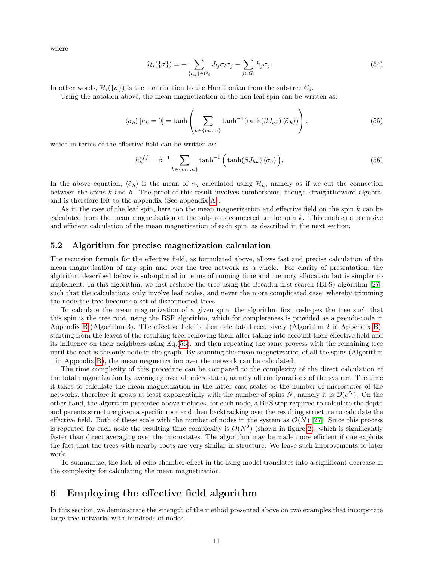where

$$
\mathcal{H}_i(\{\sigma\}) = -\sum_{\{l,j\} \in G_i} J_{lj} \sigma_l \sigma_j - \sum_{j \in G_i} h_j \sigma_j.
$$
\n(54)

In other words,  $\mathcal{H}_i(\{\sigma\})$  is the contribution to the Hamiltonian from the sub-tree  $G_i$ .

Using the notation above, the mean magnetization of the non-leaf spin can be written as:

$$
\langle \sigma_k \rangle [h_k = 0] = \tanh\left(\sum_{h \in \{m...n\}} \tanh^{-1}(\tanh(\beta J_{hk}) \langle \tilde{\sigma}_h \rangle) \right),\tag{55}
$$

which in terms of the effective field can be written as:

<span id="page-10-0"></span>
$$
h_k^{eff} = \beta^{-1} \sum_{h \in \{m...n\}} \tanh^{-1} \left( \tanh(\beta J_{hk}) \langle \tilde{\sigma}_h \rangle \right).
$$
 (56)

In the above equation,  $\langle \tilde{\sigma}_h \rangle$  is the mean of  $\sigma_h$  calculated using  $\mathcal{H}_h$ , namely as if we cut the connection between the spins  $k$  and  $h$ . The proof of this result involves cumbersome, though straightforward algebra, and is therefore left to the appendix (See appendix [A\)](#page-17-0).

As in the case of the leaf spin, here too the mean magnetization and effective field on the spin  $k$  can be calculated from the mean magnetization of the sub-trees connected to the spin  $k$ . This enables a recursive and efficient calculation of the mean magnetization of each spin, as described in the next section.

#### <span id="page-10-1"></span>5.2 Algorithm for precise magnetization calculation

The recursion formula for the effective field, as formulated above, allows fast and precise calculation of the mean magnetization of any spin and over the tree network as a whole. For clarity of presentation, the algorithm described below is sub-optimal in terms of running time and memory allocation but is simpler to implement. In this algorithm, we first reshape the tree using the Breadth-first search (BFS) algorithm [\[27\]](#page-16-10), such that the calculations only involve leaf nodes, and never the more complicated case, whereby trimming the node the tree becomes a set of disconnected trees.

To calculate the mean magnetization of a given spin, the algorithm first reshapes the tree such that this spin is the tree root, using the BSF algorithm, which for completeness is provided as a pseudo-code in Appendix [B](#page-19-0) (Algorithm 3). The effective field is then calculated recursively (Algorithm 2 in Appendix [B\)](#page-19-0), starting from the leaves of the resulting tree, removing them after taking into account their effective field and its influence on their neighbors using Eq.[\(56\)](#page-10-0), and then repeating the same process with the remaining tree until the root is the only node in the graph. By scanning the mean magnetization of all the spins (Algorithm 1 in Appendix [B\)](#page-19-0), the mean magnetization over the network can be calculated.

The time complexity of this procedure can be compared to the complexity of the direct calculation of the total magnetization by averaging over all microstates, namely all configurations of the system. The time it takes to calculate the mean magnetization in the latter case scales as the number of microstates of the networks, therefore it grows at least exponentially with the number of spins N, namely it is  $\mathcal{O}(e^N)$ . On the other hand, the algorithm presented above includes, for each node, a BFS step required to calculate the depth and parents structure given a specific root and then backtracking over the resulting structure to calculate the effective field. Both of these scale with the number of nodes in the system as  $\mathcal{O}(N)$  [\[27\]](#page-16-10). Since this process is repeated for each node the resulting time complexity is  $O(N^2)$  (shown in figure [2\)](#page-11-0), which is significantly faster than direct averaging over the microstates. The algorithm may be made more efficient if one exploits the fact that the trees with nearby roots are very similar in structure. We leave such improvements to later work.

To summarize, the lack of echo-chamber effect in the Ising model translates into a significant decrease in the complexity for calculating the mean magnetization.

## 6 Employing the effective field algorithm

In this section, we demonstrate the strength of the method presented above on two examples that incorporate large tree networks with hundreds of nodes.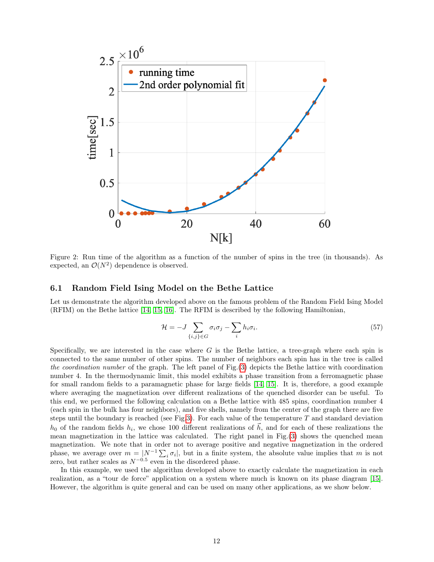

<span id="page-11-0"></span>Figure 2: Run time of the algorithm as a function of the number of spins in the tree (in thousands). As expected, an  $\mathcal{O}(N^2)$  dependence is observed.

### 6.1 Random Field Ising Model on the Bethe Lattice

Let us demonstrate the algorithm developed above on the famous problem of the Random Field Ising Model (RFIM) on the Bethe lattice [\[14,](#page-15-13) [15,](#page-15-14) [16\]](#page-15-15). The RFIM is described by the following Hamiltonian,

$$
\mathcal{H} = -J \sum_{\{i,j\} \in G} \sigma_i \sigma_j - \sum_i h_i \sigma_i. \tag{57}
$$

Specifically, we are interested in the case where  $G$  is the Bethe lattice, a tree-graph where each spin is connected to the same number of other spins. The number of neighbors each spin has in the tree is called the coordination number of the graph. The left panel of Fig.[\(3\)](#page-12-0) depicts the Bethe lattice with coordination number 4. In the thermodynamic limit, this model exhibits a phase transition from a ferromagnetic phase for small random fields to a paramagnetic phase for large fields [\[14,](#page-15-13) [15\]](#page-15-14). It is, therefore, a good example where averaging the magnetization over different realizations of the quenched disorder can be useful. To this end, we performed the following calculation on a Bethe lattice with 485 spins, coordination number 4 (each spin in the bulk has four neighbors), and five shells, namely from the center of the graph there are five steps until the boundary is reached (see Fig[.3\)](#page-12-0). For each value of the temperature  $T$  and standard deviation  $h_0$  of the random fields  $h_i$ , we chose 100 different realizations of  $\vec{h}$ , and for each of these realizations the mean magnetization in the lattice was calculated. The right panel in Fig.[\(3\)](#page-12-0) shows the quenched mean magnetization. We note that in order not to average positive and negative magnetization in the ordered phase, we average over  $m = |N^{-1} \sum_i \sigma_i|$ , but in a finite system, the absolute value implies that m is not zero, but rather scales as  $N^{-0.5}$  even in the disordered phase.

In this example, we used the algorithm developed above to exactly calculate the magnetization in each realization, as a "tour de force" application on a system where much is known on its phase diagram [\[15\]](#page-15-14). However, the algorithm is quite general and can be used on many other applications, as we show below.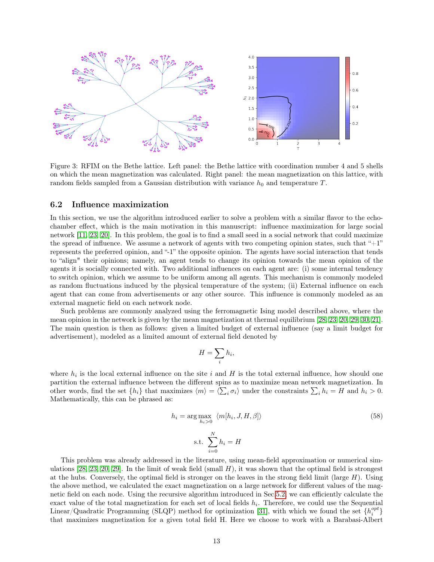

<span id="page-12-0"></span>Figure 3: RFIM on the Bethe lattice. Left panel: the Bethe lattice with coordination number 4 and 5 shells on which the mean magnetization was calculated. Right panel: the mean magnetization on this lattice, with random fields sampled from a Gaussian distribution with variance  $h_0$  and temperature T.

#### 6.2 Influence maximization

In this section, we use the algorithm introduced earlier to solve a problem with a similar flavor to the echochamber effect, which is the main motivation in this manuscript: influence maximization for large social network [\[11,](#page-15-10) [23,](#page-16-6) [20\]](#page-16-3). In this problem, the goal is to find a small seed in a social network that could maximize the spread of influence. We assume a network of agents with two competing opinion states, such that "+1" represents the preferred opinion, and "-1" the opposite opinion. The agents have social interaction that tends to "align" their opinions; namely, an agent tends to change its opinion towards the mean opinion of the agents it is socially connected with. Two additional influences on each agent are: (i) some internal tendency to switch opinion, which we assume to be uniform among all agents. This mechanism is commonly modeled as random fluctuations induced by the physical temperature of the system; (ii) External influence on each agent that can come from advertisements or any other source. This influence is commonly modeled as an external magnetic field on each network node.

Such problems are commonly analyzed using the ferromagnetic Ising model described above, where the mean opinion in the network is given by the mean magnetization at thermal equilibrium [\[28,](#page-16-11) [23,](#page-16-6) [20,](#page-16-3) [29,](#page-16-12) [30,](#page-16-13) [21\]](#page-16-4). The main question is then as follows: given a limited budget of external influence (say a limit budget for advertisement), modeled as a limited amount of external field denoted by

$$
H = \sum_i h_i,
$$

where  $h_i$  is the local external influence on the site i and H is the total external influence, how should one partition the external influence between the different spins as to maximize mean network magnetization. In other words, find the set  $\{h_i\}$  that maximizes  $\langle m \rangle = \langle \sum_i \sigma_i \rangle$  under the constraints  $\sum_i h_i = H$  and  $h_i > 0$ . Mathematically, this can be phrased as:

$$
h_i = \arg \max_{h_i > 0} \langle m[h_i, J, H, \beta] \rangle
$$
\n
$$
\text{s.t. } \sum_{i=0}^{N} h_i = H
$$
\n(58)

This problem was already addressed in the literature, using mean-field approximation or numerical sim-ulations [\[28,](#page-16-11) [23,](#page-16-6) [20,](#page-16-3) [29\]](#page-16-12). In the limit of weak field (small  $H$ ), it was shown that the optimal field is strongest at the hubs. Conversely, the optimal field is stronger on the leaves in the strong field limit (large  $H$ ). Using the above method, we calculated the exact magnetization on a large network for different values of the magnetic field on each node. Using the recursive algorithm introduced in Sec[.5.2,](#page-10-1) we can efficiently calculate the exact value of the total magnetization for each set of local fields  $h_i$ . Therefore, we could use the Sequential Linear/Quadratic Programming (SLQP) method for optimization [\[31\]](#page-16-14), with which we found the set  $\{h_i^{opt}\}$ that maximizes magnetization for a given total field H. Here we choose to work with a Barabasi-Albert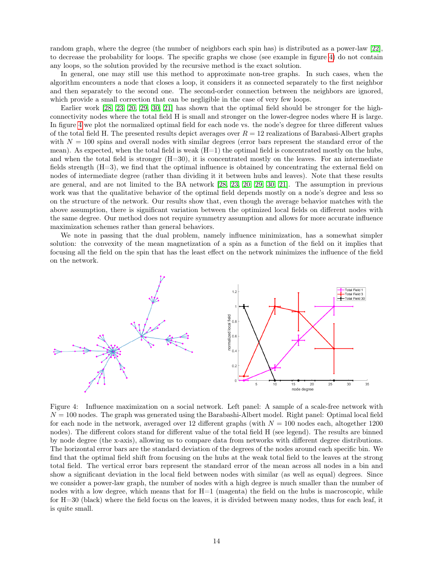random graph, where the degree (the number of neighbors each spin has) is distributed as a power-law [\[22\]](#page-16-5), to decrease the probability for loops. The specific graphs we chose (see example in figure [4\)](#page-13-0) do not contain any loops, so the solution provided by the recursive method is the exact solution.

In general, one may still use this method to approximate non-tree graphs. In such cases, when the algorithm encounters a node that closes a loop, it considers it as connected separately to the first neighbor and then separately to the second one. The second-order connection between the neighbors are ignored, which provide a small correction that can be negligible in the case of very few loops.

Earlier work [\[28,](#page-16-11) [23,](#page-16-6) [20,](#page-16-3) [29,](#page-16-12) [30,](#page-16-13) [21\]](#page-16-4) has shown that the optimal field should be stronger for the highconnectivity nodes where the total field H is small and stronger on the lower-degree nodes where H is large. In figure [4](#page-13-0) we plot the normalized optimal field for each node vs. the node's degree for three different values of the total field H. The presented results depict averages over  $R = 12$  realizations of Barabasi-Albert graphs with  $N = 100$  spins and overall nodes with similar degrees (error bars represent the standard error of the mean). As expected, when the total field is weak  $(H=1)$  the optimal field is concentrated mostly on the hubs, and when the total field is stronger  $(H=30)$ , it is concentrated mostly on the leaves. For an intermediate fields strength (H=3), we find that the optimal influence is obtained by concentrating the external field on nodes of intermediate degree (rather than dividing it it between hubs and leaves). Note that these results are general, and are not limited to the BA network [\[28,](#page-16-11) [23,](#page-16-6) [20,](#page-16-3) [29,](#page-16-12) [30,](#page-16-13) [21\]](#page-16-4). The assumption in previous work was that the qualitative behavior of the optimal field depends mostly on a node's degree and less so on the structure of the network. Our results show that, even though the average behavior matches with the above assumption, there is significant variation between the optimized local fields on different nodes with the same degree. Our method does not require symmetry assumption and allows for more accurate influence maximization schemes rather than general behaviors.

We note in passing that the dual problem, namely influence minimization, has a somewhat simpler solution: the convexity of the mean magnetization of a spin as a function of the field on it implies that focusing all the field on the spin that has the least effect on the network minimizes the influence of the field on the network.



<span id="page-13-0"></span>Figure 4: Influence maximization on a social network. Left panel: A sample of a scale-free network with  $N = 100$  nodes. The graph was generated using the Barabashi-Albert model. Right panel: Optimal local field for each node in the network, averaged over 12 different graphs (with  $N = 100$  nodes each, altogether 1200 nodes). The different colors stand for different value of the total field H (see legend). The results are binned by node degree (the x-axis), allowing us to compare data from networks with different degree distributions. The horizontal error bars are the standard deviation of the degrees of the nodes around each specific bin. We find that the optimal field shift from focusing on the hubs at the weak total field to the leaves at the strong total field. The vertical error bars represent the standard error of the mean across all nodes in a bin and show a significant deviation in the local field between nodes with similar (as well as equal) degrees. Since we consider a power-law graph, the number of nodes with a high degree is much smaller than the number of nodes with a low degree, which means that for  $H=1$  (magenta) the field on the hubs is macroscopic, while for H=30 (black) where the field focus on the leaves, it is divided between many nodes, thus for each leaf, it is quite small.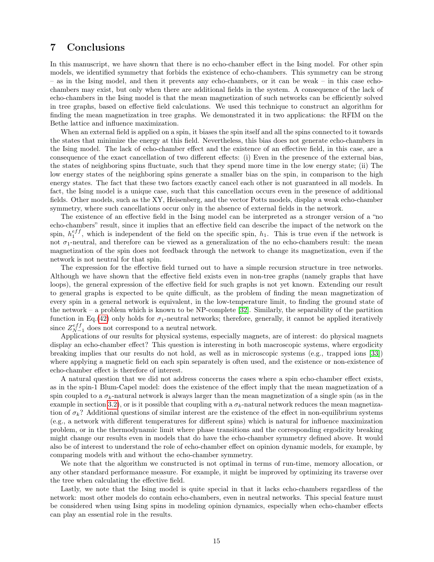## 7 Conclusions

In this manuscript, we have shown that there is no echo-chamber effect in the Ising model. For other spin models, we identified symmetry that forbids the existence of echo-chambers. This symmetry can be strong – as in the Ising model, and then it prevents any echo-chambers, or it can be weak – in this case echochambers may exist, but only when there are additional fields in the system. A consequence of the lack of echo-chambers in the Ising model is that the mean magnetization of such networks can be efficiently solved in tree graphs, based on effective field calculations. We used this technique to construct an algorithm for finding the mean magnetization in tree graphs. We demonstrated it in two applications: the RFIM on the Bethe lattice and influence maximization.

When an external field is applied on a spin, it biases the spin itself and all the spins connected to it towards the states that minimize the energy at this field. Nevertheless, this bias does not generate echo-chambers in the Ising model. The lack of echo-chamber effect and the existence of an effective field, in this case, are a consequence of the exact cancellation of two different effects: (i) Even in the presence of the external bias, the states of neighboring spins fluctuate, such that they spend more time in the low energy state; (ii) The low energy states of the neighboring spins generate a smaller bias on the spin, in comparison to the high energy states. The fact that these two factors exactly cancel each other is not guaranteed in all models. In fact, the Ising model is a unique case, such that this cancellation occurs even in the presence of additional fields. Other models, such as the XY, Heisenberg, and the vector Potts models, display a weak echo-chamber symmetry, where such cancellations occur only in the absence of external fields in the network.

The existence of an effective field in the Ising model can be interpreted as a stronger version of a "no echo-chambers" result, since it implies that an effective field can describe the impact of the network on the spin,  $h_1^{eff}$ , which is independent of the field on the specific spin,  $h_1$ . This is true even if the network is not  $\sigma_1$ -neutral, and therefore can be viewed as a generalization of the no echo-chambers result: the mean magnetization of the spin does not feedback through the network to change its magnetization, even if the network is not neutral for that spin.

The expression for the effective field turned out to have a simple recursion structure in tree networks. Although we have shown that the effective field exists even in non-tree graphs (namely graphs that have loops), the general expression of the effective field for such graphs is not yet known. Extending our result to general graphs is expected to be quite difficult, as the problem of finding the mean magnetization of every spin in a general network is equivalent, in the low-temperature limit, to finding the ground state of the network – a problem which is known to be NP-complete [\[32\]](#page-16-15). Similarly, the separability of the partition function in Eq.[\(42\)](#page-7-1) only holds for  $\sigma_1$ -neutral networks; therefore, generally, it cannot be applied iteratively since  $Z_{N-1}^{eff}$  does not correspond to a neutral network.

Applications of our results for physical systems, especially magnets, are of interest: do physical magnets display an echo-chamber effect? This question is interesting in both macroscopic systems, where ergodicity breaking implies that our results do not hold, as well as in microscopic systems (e.g., trapped ions [\[33\]](#page-16-16)) where applying a magnetic field on each spin separately is often used, and the existence or non-existence of echo-chamber effect is therefore of interest.

A natural question that we did not address concerns the cases where a spin echo-chamber effect exists, as in the spin-1 Blum-Capel model: does the existence of the effect imply that the mean magnetization of a spin coupled to a  $\sigma_k$ -natural network is always larger than the mean magnetization of a single spin (as in the example in section [3.2\)](#page-3-3), or is it possible that coupling with a  $\sigma_k$ -natural network reduces the mean magnetization of  $\sigma_k$ ? Additional questions of similar interest are the existence of the effect in non-equilibrium systems (e.g., a network with different temperatures for different spins) which is natural for influence maximization problem, or in the thermodynamic limit where phase transitions and the corresponding ergodicity breaking might change our results even in models that do have the echo-chamber symmetry defined above. It would also be of interest to understand the role of echo-chamber effect on opinion dynamic models, for example, by comparing models with and without the echo-chamber symmetry.

We note that the algorithm we constructed is not optimal in terms of run-time, memory allocation, or any other standard performance measure. For example, it might be improved by optimizing its traverse over the tree when calculating the effective field.

Lastly, we note that the Ising model is quite special in that it lacks echo-chambers regardless of the network: most other models do contain echo-chambers, even in neutral networks. This special feature must be considered when using Ising spins in modeling opinion dynamics, especially when echo-chamber effects can play an essential role in the results.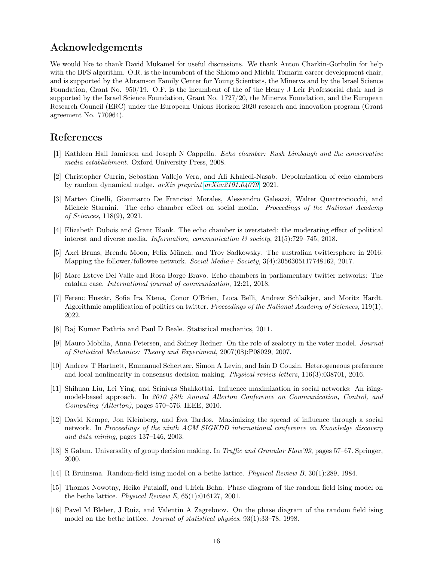## Acknowledgements

We would like to thank David Mukamel for useful discussions. We thank Anton Charkin-Gorbulin for help with the BFS algorithm. O.R. is the incumbent of the Shlomo and Michla Tomarin career development chair, and is supported by the Abramson Family Center for Young Scientists, the Minerva and by the Israel Science Foundation, Grant No. 950/19. O.F. is the incumbent of the of the Henry J Leir Professorial chair and is supported by the Israel Science Foundation, Grant No. 1727/20, the Minerva Foundation, and the European Research Council (ERC) under the European Unions Horizon 2020 research and innovation program (Grant agreement No. 770964).

## References

- <span id="page-15-0"></span>[1] Kathleen Hall Jamieson and Joseph N Cappella. Echo chamber: Rush Limbaugh and the conservative media establishment. Oxford University Press, 2008.
- <span id="page-15-1"></span>[2] Christopher Currin, Sebastian Vallejo Vera, and Ali Khaledi-Nasab. Depolarization of echo chambers by random dynamical nudge. arXiv preprint [arXiv:2101.04079](http://arxiv.org/abs/2101.04079), 2021.
- <span id="page-15-2"></span>[3] Matteo Cinelli, Gianmarco De Francisci Morales, Alessandro Galeazzi, Walter Quattrociocchi, and Michele Starnini. The echo chamber effect on social media. *Proceedings of the National Academy* of Sciences, 118(9), 2021.
- <span id="page-15-3"></span>[4] Elizabeth Dubois and Grant Blank. The echo chamber is overstated: the moderating effect of political interest and diverse media. Information, communication  $\mathcal{B}$  society, 21(5):729–745, 2018.
- <span id="page-15-4"></span>[5] Axel Bruns, Brenda Moon, Felix Münch, and Troy Sadkowsky. The australian twittersphere in 2016: Mapping the follower/followee network. Social Media+ Society, 3(4):2056305117748162, 2017.
- <span id="page-15-5"></span>[6] Marc Esteve Del Valle and Rosa Borge Bravo. Echo chambers in parliamentary twitter networks: The catalan case. International journal of communication, 12:21, 2018.
- <span id="page-15-6"></span>[7] Ferenc Huszár, Sofia Ira Ktena, Conor O'Brien, Luca Belli, Andrew Schlaikjer, and Moritz Hardt. Algorithmic amplification of politics on twitter. Proceedings of the National Academy of Sciences, 119(1), 2022.
- <span id="page-15-7"></span>[8] Raj Kumar Pathria and Paul D Beale. Statistical mechanics, 2011.
- <span id="page-15-8"></span>[9] Mauro Mobilia, Anna Petersen, and Sidney Redner. On the role of zealotry in the voter model. Journal of Statistical Mechanics: Theory and Experiment, 2007(08):P08029, 2007.
- <span id="page-15-9"></span>[10] Andrew T Hartnett, Emmanuel Schertzer, Simon A Levin, and Iain D Couzin. Heterogeneous preference and local nonlinearity in consensus decision making. *Physical review letters*, 116(3):038701, 2016.
- <span id="page-15-10"></span>[11] Shihuan Liu, Lei Ying, and Srinivas Shakkottai. Influence maximization in social networks: An isingmodel-based approach. In 2010 48th Annual Allerton Conference on Communication, Control, and Computing (Allerton), pages 570–576. IEEE, 2010.
- <span id="page-15-11"></span>[12] David Kempe, Jon Kleinberg, and Éva Tardos. Maximizing the spread of influence through a social network. In Proceedings of the ninth ACM SIGKDD international conference on Knowledge discovery and data mining, pages 137–146, 2003.
- <span id="page-15-12"></span>[13] S Galam. Universality of group decision making. In Traffic and Granular Flow'99, pages 57–67. Springer, 2000.
- <span id="page-15-13"></span>[14] R Bruinsma. Random-field ising model on a bethe lattice. Physical Review B, 30(1):289, 1984.
- <span id="page-15-14"></span>[15] Thomas Nowotny, Heiko Patzlaff, and Ulrich Behn. Phase diagram of the random field ising model on the bethe lattice. Physical Review E, 65(1):016127, 2001.
- <span id="page-15-15"></span>[16] Pavel M Bleher, J Ruiz, and Valentin A Zagrebnov. On the phase diagram of the random field ising model on the bethe lattice. Journal of statistical physics, 93(1):33–78, 1998.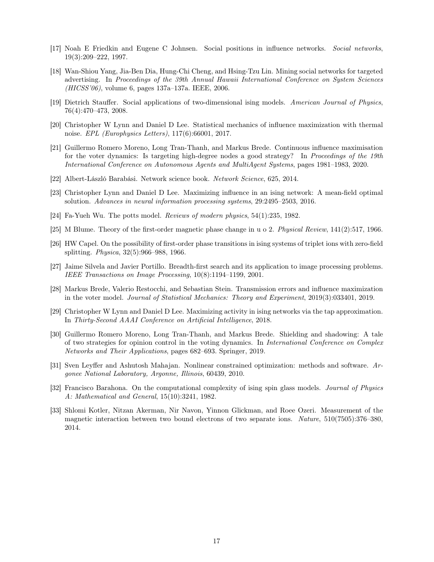- <span id="page-16-0"></span>[17] Noah E Friedkin and Eugene C Johnsen. Social positions in influence networks. Social networks, 19(3):209–222, 1997.
- <span id="page-16-1"></span>[18] Wan-Shiou Yang, Jia-Ben Dia, Hung-Chi Cheng, and Hsing-Tzu Lin. Mining social networks for targeted advertising. In Proceedings of the 39th Annual Hawaii International Conference on System Sciences (HICSS'06), volume 6, pages 137a–137a. IEEE, 2006.
- <span id="page-16-2"></span>[19] Dietrich Stauffer. Social applications of two-dimensional ising models. American Journal of Physics, 76(4):470–473, 2008.
- <span id="page-16-3"></span>[20] Christopher W Lynn and Daniel D Lee. Statistical mechanics of influence maximization with thermal noise. EPL (Europhysics Letters), 117(6):66001, 2017.
- <span id="page-16-4"></span>[21] Guillermo Romero Moreno, Long Tran-Thanh, and Markus Brede. Continuous influence maximisation for the voter dynamics: Is targeting high-degree nodes a good strategy? In Proceedings of the 19th International Conference on Autonomous Agents and MultiAgent Systems, pages 1981–1983, 2020.
- <span id="page-16-5"></span>[22] Albert-László Barabási. Network science book. Network Science, 625, 2014.
- <span id="page-16-6"></span>[23] Christopher Lynn and Daniel D Lee. Maximizing influence in an ising network: A mean-field optimal solution. Advances in neural information processing systems, 29:2495–2503, 2016.
- <span id="page-16-7"></span>[24] Fa-Yueh Wu. The potts model. Reviews of modern physics, 54(1):235, 1982.
- <span id="page-16-8"></span>[25] M Blume. Theory of the first-order magnetic phase change in u o 2. Physical Review, 141(2):517, 1966.
- <span id="page-16-9"></span>[26] HW Capel. On the possibility of first-order phase transitions in ising systems of triplet ions with zero-field splitting. Physica, 32(5):966–988, 1966.
- <span id="page-16-10"></span>[27] Jaime Silvela and Javier Portillo. Breadth-first search and its application to image processing problems. IEEE Transactions on Image Processing, 10(8):1194–1199, 2001.
- <span id="page-16-11"></span>[28] Markus Brede, Valerio Restocchi, and Sebastian Stein. Transmission errors and influence maximization in the voter model. Journal of Statistical Mechanics: Theory and Experiment, 2019(3):033401, 2019.
- <span id="page-16-12"></span>[29] Christopher W Lynn and Daniel D Lee. Maximizing activity in ising networks via the tap approximation. In Thirty-Second AAAI Conference on Artificial Intelligence, 2018.
- <span id="page-16-13"></span>[30] Guillermo Romero Moreno, Long Tran-Thanh, and Markus Brede. Shielding and shadowing: A tale of two strategies for opinion control in the voting dynamics. In International Conference on Complex Networks and Their Applications, pages 682–693. Springer, 2019.
- <span id="page-16-14"></span>[31] Sven Leyffer and Ashutosh Mahajan. Nonlinear constrained optimization: methods and software. Argonee National Laboratory, Argonne, Illinois, 60439, 2010.
- <span id="page-16-15"></span>[32] Francisco Barahona. On the computational complexity of ising spin glass models. Journal of Physics A: Mathematical and General, 15(10):3241, 1982.
- <span id="page-16-16"></span>[33] Shlomi Kotler, Nitzan Akerman, Nir Navon, Yinnon Glickman, and Roee Ozeri. Measurement of the magnetic interaction between two bound electrons of two separate ions. Nature, 510(7505):376–380, 2014.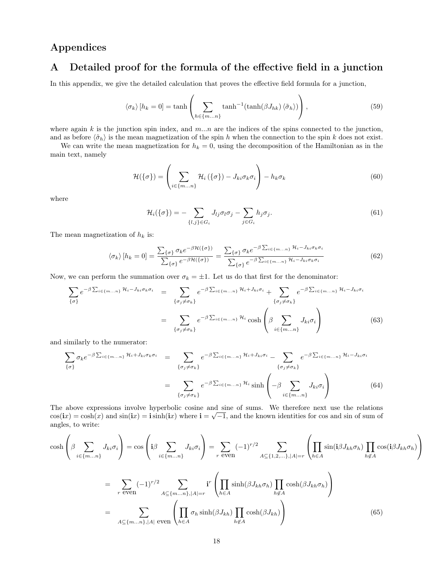## Appendices

## <span id="page-17-0"></span>A Detailed proof for the formula of the effective field in a junction

In this appendix, we give the detailed calculation that proves the effective field formula for a junction,

<span id="page-17-2"></span>
$$
\langle \sigma_k \rangle [h_k = 0] = \tanh\left(\sum_{h \in \{m...n\}} \tanh^{-1}(\tanh(\beta J_{hk}) \langle \tilde{\sigma}_h \rangle) \right),\tag{59}
$$

where again k is the junction spin index, and  $m...n$  are the indices of the spins connected to the junction, and as before  $\langle \tilde{\sigma}_h \rangle$  is the mean magnetization of the spin h when the connection to the spin k does not exist.

We can write the mean magnetization for  $h_k = 0$ , using the decomposition of the Hamiltonian as in the main text, namely

$$
\mathcal{H}(\{\sigma\}) = \left(\sum_{i \in \{m...n\}} \mathcal{H}_i(\{\sigma\}) - J_{ki}\sigma_k\sigma_i\right) - h_k\sigma_k \tag{60}
$$

where

<span id="page-17-1"></span>
$$
\mathcal{H}_i(\{\sigma\}) = -\sum_{\{l,j\} \in G_i} J_{lj} \sigma_l \sigma_j - \sum_{j \in G_i} h_j \sigma_j. \tag{61}
$$

The mean magnetization of  $h_k$  is:

$$
\langle \sigma_k \rangle [h_k = 0] = \frac{\sum_{\{\sigma\}} \sigma_k e^{-\beta \mathcal{H}(\{\sigma\})}}{\sum_{\{\sigma\}} e^{-\beta \mathcal{H}(\{\sigma\})}} = \frac{\sum_{\{\sigma\}} \sigma_k e^{-\beta \sum_{i \in \{m...n\}} \mathcal{H}_i - J_{ki} \sigma_k \sigma_i}}{\sum_{\{\sigma\}} e^{-\beta \sum_{i \in \{m...n\}} \mathcal{H}_i - J_{ki} \sigma_k \sigma_i}}
$$
(62)

Now, we can perform the summation over  $\sigma_k = \pm 1$ . Let us do that first for the denominator:

$$
\sum_{\{\sigma\}} e^{-\beta \sum_{i \in \{m...n\}} \mathcal{H}_i - J_{ki} \sigma_k \sigma_i} = \sum_{\{\sigma_j \neq \sigma_k\}} e^{-\beta \sum_{i \in \{m...n\}} \mathcal{H}_i + J_{ki} \sigma_i} + \sum_{\{\sigma_j \neq \sigma_k\}} e^{-\beta \sum_{i \in \{m...n\}} \mathcal{H}_i - J_{ki} \sigma_i}
$$
\n
$$
= \sum_{\{\sigma_j \neq \sigma_k\}} e^{-\beta \sum_{i \in \{m...n\}} \mathcal{H}_i} \cosh \left(\beta \sum_{i \in \{m...n\}} J_{ki} \sigma_i\right)
$$
\n(63)

and similarly to the numerator:

$$
\sum_{\{\sigma\}} \sigma_k e^{-\beta \sum_{i \in \{m...n\}} \mathcal{H}_i + J_{ki} \sigma_k \sigma_i} = \sum_{\{\sigma_j \neq \sigma_k\}} e^{-\beta \sum_{i \in \{m...n\}} \mathcal{H}_i + J_{ki} \sigma_i} - \sum_{\{\sigma_j \neq \sigma_k\}} e^{-\beta \sum_{i \in \{m...n\}} \mathcal{H}_i - J_{ki} \sigma_i}
$$
\n
$$
= \sum_{\{\sigma_j \neq \sigma_k\}} e^{-\beta \sum_{i \in \{m...n\}} \mathcal{H}_i} \sinh \left(-\beta \sum_{i \in \{m...n\}} J_{ki} \sigma_i\right) \tag{64}
$$

The above expressions involve hyperbolic cosine and sine of sums. We therefore next use the relations  $\cos(ix) = \cosh(x)$  and  $\sin(ix) = i\sinh(ix)$  where  $i = \sqrt{-1}$ , and the known identities for cos and sin of sum of angles, to write:

$$
\cosh\left(\beta \sum_{i \in \{m...n\}} J_{ki}\sigma_i\right) = \cos\left(\mathbf{i}\beta \sum_{i \in \{m...n\}} J_{ki}\sigma_i\right) = \sum_{r \text{ even}} (-1)^{r/2} \sum_{A \subseteq \{1,2,...\}, |A|=r} \left(\prod_{h \in A} \sin(\mathbf{i}\beta J_{kh}\sigma_h) \prod_{h \notin A} \cos(\mathbf{i}\beta J_{kh}\sigma_h)\right)
$$

$$
= \sum_{r \text{ even}} (-1)^{r/2} \sum_{A \subseteq \{m...n\}, |A|=r} \mathbf{i}^r \left(\prod_{h \in A} \sin(\beta J_{kh}\sigma_h) \prod_{h \notin A} \cosh(\beta J_{kh}\sigma_h)\right)
$$

$$
= \sum_{A \subseteq \{m...n\}, |A| \text{ even}} \left(\prod_{h \in A} \sigma_h \sinh(\beta J_{kh}) \prod_{h \notin A} \cosh(\beta J_{kh})\right) \tag{65}
$$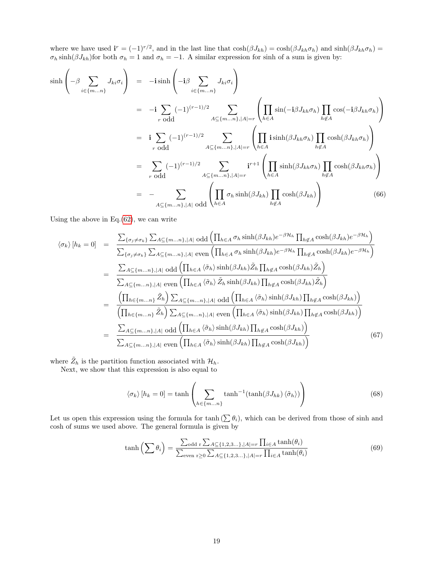where we have used  $\mathbf{i}^r = (-1)^{r/2}$ , and in the last line that  $\cosh(\beta J_{kh}) = \cosh(\beta J_{kh}\sigma_h)$  and  $\sinh(\beta J_{kh}\sigma_h) =$  $\sigma_h \sinh(\beta J_{kh})$  for both  $\sigma_h = 1$  and  $\sigma_h = -1$ . A similar expression for sinh of a sum is given by:

$$
\sinh\left(-\beta \sum_{i\in\{m...n\}} J_{ki}\sigma_i\right) = -i \sinh\left(-i\beta \sum_{i\in\{m...n\}} J_{ki}\sigma_i\right)
$$
  
\n
$$
= -i \sum_{r \text{ odd}} (-1)^{(r-1)/2} \sum_{A\subseteq\{m...n\},|A|=r} \left(\prod_{h\in A} \sin(-i\beta J_{kh}\sigma_h) \prod_{h\notin A} \cos(-i\beta J_{kh}\sigma_h)\right)
$$
  
\n
$$
= i \sum_{r \text{ odd}} (-1)^{(r-1)/2} \sum_{A\subseteq\{m...n\},|A|=r} \left(\prod_{h\in A} i \sinh(\beta J_{kh}\sigma_h) \prod_{h\notin A} \cosh(\beta J_{kh}\sigma_h)\right)
$$
  
\n
$$
= \sum_{r \text{ odd}} (-1)^{(r-1)/2} \sum_{A\subseteq\{m...n\},|A|=r} i^{r+1} \left(\prod_{h\in A} \sinh(\beta J_{kh}\sigma_h) \prod_{h\notin A} \cosh(\beta J_{kh}\sigma_h)\right)
$$
  
\n
$$
= - \sum_{A\subseteq\{m...n\},|A|\text{ odd}} \left(\prod_{h\in A} \sigma_h \sinh(\beta J_{kh}) \prod_{h\notin A} \cosh(\beta J_{kh})\right) \qquad (66)
$$

Using the above in Eq. $(62)$ , we can write

<span id="page-18-0"></span>
$$
\langle \sigma_{k} \rangle [h_{k} = 0] = \frac{\sum_{\{\sigma_{j} \neq \sigma_{k}\}} \sum_{A \subseteq \{m...n\}, |A| \text{ odd}} \left( \prod_{h \in A} \sigma_{h} \sinh(\beta J_{kh}) e^{-\beta \mathcal{H}_{h}} \prod_{h \notin A} \cosh(\beta J_{kh}) e^{-\beta \mathcal{H}_{h}} \right)}{\sum_{\{\sigma_{j} \neq \sigma_{k}\}} \sum_{A \subseteq \{m...n\}, |A| \text{ even}} \left( \prod_{h \in A} \sigma_{h} \sinh(\beta J_{kh}) e^{-\beta \mathcal{H}_{h}} \prod_{h \notin A} \cosh(\beta J_{kh}) e^{-\beta \mathcal{H}_{h}} \right)}
$$
  
\n
$$
= \frac{\sum_{A \subseteq \{m...n\}, |A| \text{ odd}} \left( \prod_{h \in A} \langle \tilde{\sigma}_{h} \rangle \sinh(\beta J_{kh}) \tilde{Z}_{h} \prod_{h \notin A} \cosh(\beta J_{kh}) \tilde{Z}_{h} \right)}{\sum_{A \subseteq \{m...n\}, |A| \text{ even}} \left( \prod_{h \in A} \langle \tilde{\sigma}_{h} \rangle \tilde{Z}_{h} \sinh(\beta J_{kh}) \prod_{h \notin A} \cosh(\beta J_{kh}) \tilde{Z}_{h} \right)}
$$
  
\n
$$
= \frac{\left( \prod_{h \in \{m...n\}} \tilde{Z}_{h} \right) \sum_{A \subseteq \{m...n\}, |A| \text{ odd}} \left( \prod_{h \in A} \langle \tilde{\sigma}_{h} \rangle \sinh(\beta J_{kh}) \prod_{h \notin A} \cosh(\beta J_{kh}) \right)}{\left( \prod_{h \in \{m...n\}} \tilde{Z}_{h} \right) \sum_{A \subseteq \{m...n\}, |A| \text{ even}} \left( \prod_{h \in A} \langle \tilde{\sigma}_{h} \rangle \sinh(\beta J_{kh}) \prod_{h \notin A} \cosh(\beta J_{kh}) \right)}
$$
  
\n
$$
= \frac{\sum_{A \subseteq \{m...n\}, |A| \text{ odd}} \left( \prod_{h \in A} \langle \tilde{\sigma}_{h} \rangle \sinh(\beta J_{kh}) \prod_{h \notin A} \cosh(\beta J_{kh}) \right)}{\sum_{A \subseteq \{m...n\}, |A| \text{ even}} \left( \prod_{h \in
$$

where  $\tilde{Z}_h$  is the partition function associated with  $\mathcal{H}_h$ .

Next, we show that this expression is also equal to

$$
\langle \sigma_k \rangle [h_k = 0] = \tanh\left(\sum_{h \in \{m...n\}} \tanh^{-1}(\tanh(\beta J_{hk}) \langle \tilde{\sigma}_h \rangle) \right) \tag{68}
$$

Let us open this expression using the formula for  $\tanh(\sum \theta_i)$ , which can be derived from those of sinh and cosh of sums we used above. The general formula is given by

$$
\tanh\left(\sum \theta_i\right) = \frac{\sum_{\text{odd }r} \sum_{A \subseteq \{1,2,3\ldots\}, |A|=r} \prod_{i \in A} \tanh(\theta_i)}{\sum_{\text{even }r \ge 0} \sum_{A \subseteq \{1,2,3\ldots\}, |A|=r} \prod_{i \in A} \tanh(\theta_i)}
$$
(69)